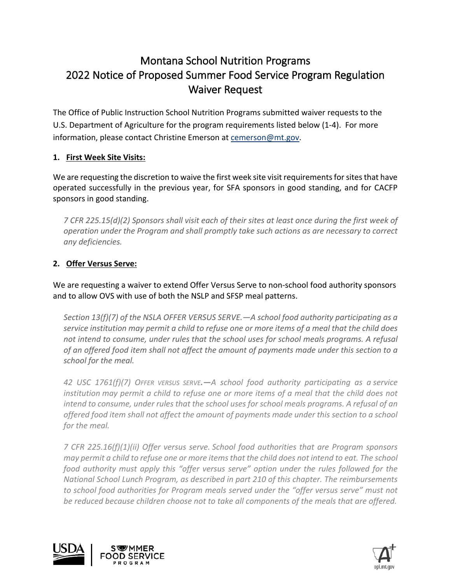# Montana School Nutrition Programs 2022 Notice of Proposed Summer Food Service Program Regulation Waiver Request

The Office of Public Instruction School Nutrition Programs submitted waiver requests to the U.S. Department of Agriculture for the program requirements listed below (1-4). For more information, please contact Christine Emerson at [cemerson@mt.gov.](mailto:cemerson@mt.gov)

## **1. First Week Site Visits:**

We are requesting the discretion to waive the first week site visit requirements for sites that have operated successfully in the previous year, for SFA sponsors in good standing, and for CACFP sponsors in good standing.

*7 CFR 225.15(d)(2) Sponsors shall visit each of their sites at least once during the first week of operation under the Program and shall promptly take such actions as are necessary to correct any deficiencies.*

### **2. Offer Versus Serve:**

We are requesting a waiver to extend Offer Versus Serve to non-school food authority sponsors and to allow OVS with use of both the NSLP and SFSP meal patterns.

*Section 13(f)(7) of the NSLA OFFER VERSUS SERVE.—A school food authority participating as a service institution may permit a child to refuse one or more items of a meal that the child does not intend to consume, under rules that the school uses for school meals programs. A refusal of an offered food item shall not affect the amount of payments made under this section to a school for the meal.*

*42 USC 1761(f)(7) OFFER VERSUS SERVE.—A school food authority participating as a [service](https://www.law.cornell.edu/definitions/uscode.php?width=840&height=800&iframe=true&def_id=42-USC-1322037453-975716355&term_occur=56&term_src=title:42:chapter:13:section:1761)  [institution](https://www.law.cornell.edu/definitions/uscode.php?width=840&height=800&iframe=true&def_id=42-USC-1322037453-975716355&term_occur=56&term_src=title:42:chapter:13:section:1761) may permit a child to refuse one or more items of a meal that the child does not intend to consume, under rules that the school uses for school meals programs. A refusal of an offered food item shall not affect the amount of payments made under this section to a school for the meal.*

*7 CFR 225.16(f)(1)(ii) Offer versus serve. School food authorities that are Program sponsors may permit a child to refuse one or more items that the child does not intend to eat. The school food authority must apply this "offer versus serve" option under the rules followed for the National School Lunch Program, as described in part 210 of this chapter. The reimbursements to school food authorities for Program meals served under the "offer versus serve" must not*  be reduced because children choose not to take all components of the meals that are offered.



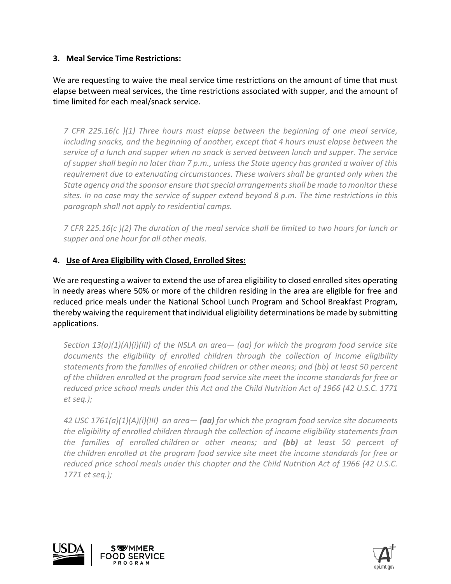### **3. Meal Service Time Restrictions:**

We are requesting to waive the meal service time restrictions on the amount of time that must elapse between meal services, the time restrictions associated with supper, and the amount of time limited for each meal/snack service.

*7 CFR 225.16(c )(1) Three hours must elapse between the beginning of one meal service, including snacks, and the beginning of another, except that 4 hours must elapse between the service of a lunch and supper when no snack is served between lunch and supper. The service of supper shall begin no later than 7 p.m., unless the State agency has granted a waiver of this requirement due to extenuating circumstances. These waivers shall be granted only when the State agency and the sponsor ensure that special arrangements shall be made to monitor these sites. In no case may the service of supper extend beyond 8 p.m. The time restrictions in this paragraph shall not apply to residential camps.*

*7 CFR 225.16(c )(2) The duration of the meal service shall be limited to two hours for lunch or supper and one hour for all other meals.*

### **4. Use of Area Eligibility with Closed, Enrolled Sites:**

We are requesting a waiver to extend the use of area eligibility to closed enrolled sites operating in needy areas where 50% or more of the children residing in the area are eligible for free and reduced price meals under the National School Lunch Program and School Breakfast Program, thereby waiving the requirement that individual eligibility determinations be made by submitting applications.

*Section 13(a)(1)(A)(i)(III) of the NSLA an area— (aa) for which the program food service site documents the eligibility of enrolled children through the collection of income eligibility statements from the families of enrolled children or other means; and (bb) at least 50 percent of the children enrolled at the program food service site meet the income standards for free or reduced price school meals under this Act and the Child Nutrition Act of 1966 (42 U.S.C. 1771 et seq.);*

*42 USC 1761(a)(1)(A)(i)(III) an area— (aa) for which the [program](https://www.law.cornell.edu/definitions/uscode.php?width=840&height=800&iframe=true&def_id=42-USC-309387644-975716354&term_occur=1&term_src=title:42:chapter:13:section:1761) food service site documents the eligibility of enrolled [children](https://www.law.cornell.edu/definitions/uscode.php?width=840&height=800&iframe=true&def_id=42-USC-1659526655-975716353&term_occur=3&term_src=title:42:chapter:13:section:1761) through the collection of income eligibility statements from the families of enrolled [children](https://www.law.cornell.edu/definitions/uscode.php?width=840&height=800&iframe=true&def_id=42-USC-1659526655-975716353&term_occur=4&term_src=title:42:chapter:13:section:1761) or other means; and (bb) at least 50 percent of the [children](https://www.law.cornell.edu/definitions/uscode.php?width=840&height=800&iframe=true&def_id=42-USC-1659526655-975716353&term_occur=5&term_src=title:42:chapter:13:section:1761) enrolled at the program food service site meet the income standards for free or reduced price school meals under this chapter and the Child Nutrition Act of 1966 (42 U.S.C. [1771](https://www.law.cornell.edu/uscode/text/42/1771) et seq.);*